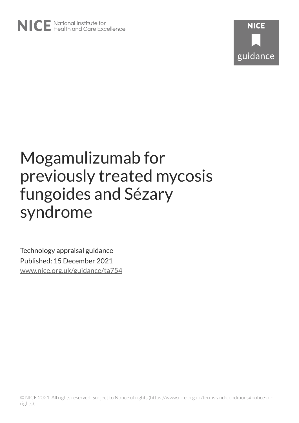

# Mogamulizumab for previously treated mycosis fungoides and Sézary syndrome

Technology appraisal guidance Published: 15 December 2021 [www.nice.org.uk/guidance/ta754](https://www.nice.org.uk/guidance/ta754)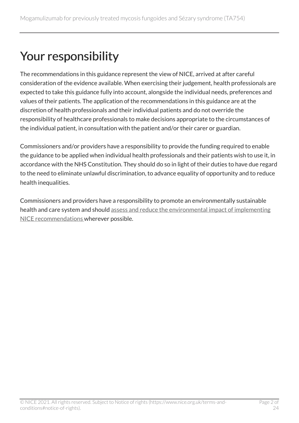# Your responsibility

The recommendations in this guidance represent the view of NICE, arrived at after careful consideration of the evidence available. When exercising their judgement, health professionals are expected to take this guidance fully into account, alongside the individual needs, preferences and values of their patients. The application of the recommendations in this guidance are at the discretion of health professionals and their individual patients and do not override the responsibility of healthcare professionals to make decisions appropriate to the circumstances of the individual patient, in consultation with the patient and/or their carer or guardian.

Commissioners and/or providers have a responsibility to provide the funding required to enable the guidance to be applied when individual health professionals and their patients wish to use it, in accordance with the NHS Constitution. They should do so in light of their duties to have due regard to the need to eliminate unlawful discrimination, to advance equality of opportunity and to reduce health inequalities.

Commissioners and providers have a responsibility to promote an environmentally sustainable health and care system and should [assess and reduce the environmental impact of implementing](https://www.nice.org.uk/about/who-we-are/sustainability)  [NICE recommendations w](https://www.nice.org.uk/about/who-we-are/sustainability)herever possible.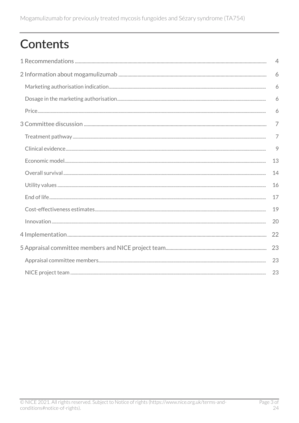# **Contents**

| $\overline{4}$ |
|----------------|
| 6              |
| 6              |
| 6              |
| 6              |
| $\overline{7}$ |
| 7              |
| 9              |
| 13             |
| 14             |
| 16             |
| 17             |
| 19             |
| 20             |
| 22             |
| 23             |
| 23             |
| 23             |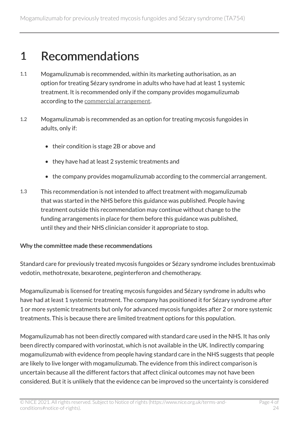### <span id="page-3-0"></span>1 Recommendations

- 1.1 Mogamulizumab is recommended, within its marketing authorisation, as an option for treating Sézary syndrome in adults who have had at least 1 systemic treatment. It is recommended only if the company provides mogamulizumab according to the [commercial arrangement](https://www.nice.org.uk/guidance/ta754).
- 1.2 Mogamulizumab is recommended as an option for treating mycosis fungoides in adults, only if:
	- their condition is stage 2B or above and
	- they have had at least 2 systemic treatments and
	- the company provides mogamulizumab according to the commercial arrangement.
- 1.3 This recommendation is not intended to affect treatment with mogamulizumab that was started in the NHS before this guidance was published. People having treatment outside this recommendation may continue without change to the funding arrangements in place for them before this guidance was published, until they and their NHS clinician consider it appropriate to stop.

#### Why the committee made these recommendations

Standard care for previously treated mycosis fungoides or Sézary syndrome includes brentuximab vedotin, methotrexate, bexarotene, peginterferon and chemotherapy.

Mogamulizumab is licensed for treating mycosis fungoides and Sézary syndrome in adults who have had at least 1 systemic treatment. The company has positioned it for Sézary syndrome after 1 or more systemic treatments but only for advanced mycosis fungoides after 2 or more systemic treatments. This is because there are limited treatment options for this population.

Mogamulizumab has not been directly compared with standard care used in the NHS. It has only been directly compared with vorinostat, which is not available in the UK. Indirectly comparing mogamulizumab with evidence from people having standard care in the NHS suggests that people are likely to live longer with mogamulizumab. The evidence from this indirect comparison is uncertain because all the different factors that affect clinical outcomes may not have been considered. But it is unlikely that the evidence can be improved so the uncertainty is considered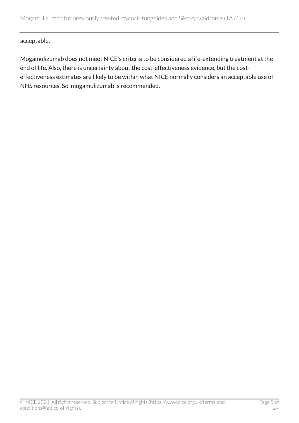acceptable.

Mogamulizumab does not meet NICE's criteria to be considered a life-extending treatment at the end of life. Also, there is uncertainty about the cost-effectiveness evidence, but the costeffectiveness estimates are likely to be within what NICE normally considers an acceptable use of NHS resources. So, mogamulizumab is recommended.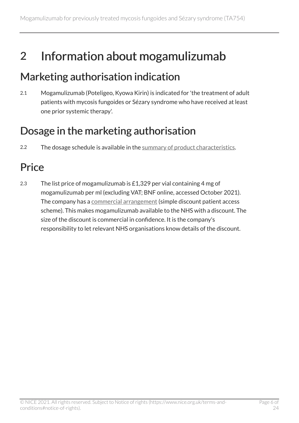## <span id="page-5-0"></span>2 Information about mogamulizumab

### <span id="page-5-1"></span>Marketing authorisation indication

2.1 Mogamulizumab (Poteligeo, Kyowa Kirin) is indicated for 'the treatment of adult patients with mycosis fungoides or Sézary syndrome who have received at least one prior systemic therapy'.

### <span id="page-5-2"></span>Dosage in the marketing authorisation

2.2 The dosage schedule is available in the [summary of product characteristics.](https://www.medicines.org.uk/emc/product/11174)

### <span id="page-5-3"></span>**Price**

2.3 The list price of mogamulizumab is £1,329 per vial containing 4 mg of mogamulizumab per ml (excluding VAT; BNF online, accessed October 2021). The company has a [commercial arrangement](https://www.nice.org.uk/guidance/ta754) (simple discount patient access scheme). This makes mogamulizumab available to the NHS with a discount. The size of the discount is commercial in confidence. It is the company's responsibility to let relevant NHS organisations know details of the discount.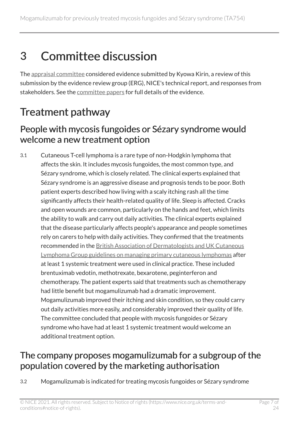# <span id="page-6-0"></span>3 Committee discussion

The [appraisal committee](#page-22-1) considered evidence submitted by Kyowa Kirin, a review of this submission by the evidence review group (ERG), NICE's technical report, and responses from stakeholders. See the [committee papers](https://www.nice.org.uk/guidance/TA754/evidence) for full details of the evidence.

### <span id="page-6-1"></span>Treatment pathway

#### <span id="page-6-3"></span>People with mycosis fungoides or Sézary syndrome would welcome a new treatment option

3.1 Cutaneous T-cell lymphoma is a rare type of non-Hodgkin lymphoma that affects the skin. It includes mycosis fungoides, the most common type, and Sézary syndrome, which is closely related. The clinical experts explained that Sézary syndrome is an aggressive disease and prognosis tends to be poor. Both patient experts described how living with a scaly itching rash all the time significantly affects their health-related quality of life. Sleep is affected. Cracks and open wounds are common, particularly on the hands and feet, which limits the ability to walk and carry out daily activities. The clinical experts explained that the disease particularly affects people's appearance and people sometimes rely on carers to help with daily activities. They confirmed that the treatments recommended in the [British Association of Dermatologists and UK Cutaneous](https://www.bad.org.uk/healthcare-professionals/clinical-standards/clinical-guidelines/primary-cutaneous-lymphomas) [Lymphoma Group guidelines on managing primary cutaneous lymphomas](https://www.bad.org.uk/healthcare-professionals/clinical-standards/clinical-guidelines/primary-cutaneous-lymphomas) after at least 1 systemic treatment were used in clinical practice. These included brentuximab vedotin, methotrexate, bexarotene, peginterferon and chemotherapy. The patient experts said that treatments such as chemotherapy had little benefit but mogamulizumab had a dramatic improvement. Mogamulizumab improved their itching and skin condition, so they could carry out daily activities more easily, and considerably improved their quality of life. The committee concluded that people with mycosis fungoides or Sézary syndrome who have had at least 1 systemic treatment would welcome an additional treatment option.

### <span id="page-6-2"></span>The company proposes mogamulizumab for a subgroup of the population covered by the marketing authorisation

3.2 Mogamulizumab is indicated for treating mycosis fungoides or Sézary syndrome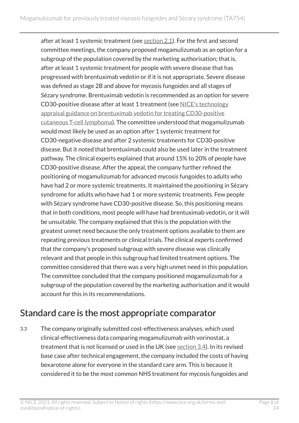after at least 1 systemic treatment (see  $section 2.1$  $section 2.1$ ). For the first and second committee meetings, the company proposed mogamulizumab as an option for a subgroup of the population covered by the marketing authorisation; that is, after at least 1 systemic treatment for people with severe disease that has progressed with brentuximab vedotin or if it is not appropriate. Severe disease was defined as stage 2B and above for mycosis fungoides and all stages of Sézary syndrome. Brentuximab vedotin is recommended as an option for severe CD30-positive disease after at least 1 treatment (see [NICE's technology](https://www.nice.org.uk/guidance/ta577) [appraisal guidance on brentuximab vedotin for treating CD30-positive](https://www.nice.org.uk/guidance/ta577) [cutaneous T-cell lymphoma](https://www.nice.org.uk/guidance/ta577)). The committee understood that mogamulizumab would most likely be used as an option after 1 systemic treatment for CD30-negative disease and after 2 systemic treatments for CD30-positive disease. But it noted that brentuximab could also be used later in the treatment pathway. The clinical experts explained that around 15% to 20% of people have CD30-positive disease. After the appeal, the company further refined the positioning of mogamulizumab for advanced mycosis fungoides to adults who have had 2 or more systemic treatments. It maintained the positioning in Sézary syndrome for adults who have had 1 or more systemic treatments. Few people with Sézary syndrome have CD30-positive disease. So, this positioning means that in both conditions, most people will have had brentuximab vedotin, or it will be unsuitable. The company explained that this is the population with the greatest unmet need because the only treatment options available to them are repeating previous treatments or clinical trials. The clinical experts confirmed that the company's proposed subgroup with severe disease was clinically relevant and that people in this subgroup had limited treatment options. The committee considered that there was a very high unmet need in this population. The committee concluded that the company positioned mogamulizumab for a subgroup of the population covered by the marketing authorisation and it would account for this in its recommendations.

### <span id="page-7-0"></span>Standard care is the most appropriate comparator

3.3 The company originally submitted cost-effectiveness analyses, which used clinical-effectiveness data comparing mogamulizumab with vorinostat, a treatment that is not licensed or used in the UK (see [section](#page-8-1) 3.4). In its revised base case after technical engagement, the company included the costs of having bexarotene alone for everyone in the standard care arm. This is because it considered it to be the most common NHS treatment for mycosis fungoides and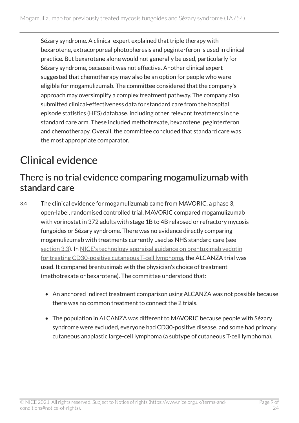Sézary syndrome. A clinical expert explained that triple therapy with bexarotene, extracorporeal photopheresis and peginterferon is used in clinical practice. But bexarotene alone would not generally be used, particularly for Sézary syndrome, because it was not effective. Another clinical expert suggested that chemotherapy may also be an option for people who were eligible for mogamulizumab. The committee considered that the company's approach may oversimplify a complex treatment pathway. The company also submitted clinical-effectiveness data for standard care from the hospital episode statistics (HES) database, including other relevant treatments in the standard care arm. These included methotrexate, bexarotene, peginterferon and chemotherapy. Overall, the committee concluded that standard care was the most appropriate comparator.

### <span id="page-8-0"></span>Clinical evidence

#### <span id="page-8-1"></span>There is no trial evidence comparing mogamulizumab with standard care

- 3.4 The clinical evidence for mogamulizumab came from MAVORIC, a phase 3, open-label, randomised controlled trial. MAVORIC compared mogamulizumab with vorinostat in 372 adults with stage 1B to 4B relapsed or refractory mycosis fungoides or Sézary syndrome. There was no evidence directly comparing mogamulizumab with treatments currently used as NHS standard care (see [section](#page-7-0) 3.3). In NICE's technology appraisal guidance on brentuximab vedotin [for treating CD30-positive cutaneous T-cell lymphoma,](https://www.nice.org.uk/guidance/ta577) the ALCANZA trial was used. It compared brentuximab with the physician's choice of treatment (methotrexate or bexarotene). The committee understood that:
	- An anchored indirect treatment comparison using ALCANZA was not possible because there was no common treatment to connect the 2 trials.
	- The population in ALCANZA was different to MAVORIC because people with Sézary syndrome were excluded, everyone had CD30-positive disease, and some had primary cutaneous anaplastic large-cell lymphoma (a subtype of cutaneous T-cell lymphoma).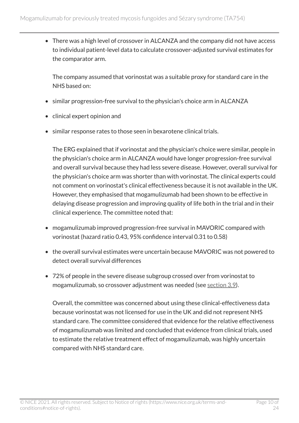• There was a high level of crossover in ALCANZA and the company did not have access to individual patient-level data to calculate crossover-adjusted survival estimates for the comparator arm.

The company assumed that vorinostat was a suitable proxy for standard care in the NHS based on:

- similar progression-free survival to the physician's choice arm in ALCANZA
- clinical expert opinion and
- similar response rates to those seen in bexarotene clinical trials.

The ERG explained that if vorinostat and the physician's choice were similar, people in the physician's choice arm in ALCANZA would have longer progression-free survival and overall survival because they had less severe disease. However, overall survival for the physician's choice arm was shorter than with vorinostat. The clinical experts could not comment on vorinostat's clinical effectiveness because it is not available in the UK. However, they emphasised that mogamulizumab had been shown to be effective in delaying disease progression and improving quality of life both in the trial and in their clinical experience. The committee noted that:

- mogamulizumab improved progression-free survival in MAVORIC compared with vorinostat (hazard ratio 0.43, 95% confidence interval 0.31 to 0.58)
- the overall survival estimates were uncertain because MAVORIC was not powered to detect overall survival differences
- 72% of people in the severe disease subgroup crossed over from vorinostat to mogamulizumab, so crossover adjustment was needed (see [section](#page-13-1) 3.9).

Overall, the committee was concerned about using these clinical-effectiveness data because vorinostat was not licensed for use in the UK and did not represent NHS standard care. The committee considered that evidence for the relative effectiveness of mogamulizumab was limited and concluded that evidence from clinical trials, used to estimate the relative treatment effect of mogamulizumab, was highly uncertain compared with NHS standard care.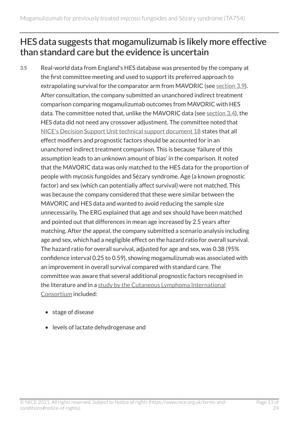### <span id="page-10-0"></span>HES data suggests that mogamulizumab is likely more effective than standard care but the evidence is uncertain

- 3.5 Real-world data from England's HES database was presented by the company at the first committee meeting and used to support its preferred approach to extrapolating survival for the comparator arm from MAVORIC (see [section](#page-13-1) 3.9). After consultation, the company submitted an unanchored indirect treatment comparison comparing mogamulizumab outcomes from MAVORIC with HES data. The committee noted that, unlike the MAVORIC data (see [section](#page-8-1) 3.4), the HES data did not need any crossover adjustment. The committee noted that [NICE's Decision Support Unit technical support document](http://nicedsu.org.uk/technical-support-documents/technical-support-documents/) 18 states that all effect modifiers and prognostic factors should be accounted for in an unanchored indirect treatment comparison. This is because 'failure of this assumption leads to an unknown amount of bias' in the comparison. It noted that the MAVORIC data was only matched to the HES data for the proportion of people with mycosis fungoides and Sézary syndrome. Age (a known prognostic factor) and sex (which can potentially affect survival) were not matched. This was because the company considered that these were similar between the MAVORIC and HES data and wanted to avoid reducing the sample size unnecessarily. The ERG explained that age and sex should have been matched and pointed out that differences in mean age increased by 2.5 years after matching. After the appeal, the company submitted a scenario analysis including age and sex, which had a negligible effect on the hazard ratio for overall survival. The hazard ratio for overall survival, adjusted for age and sex, was 0.38 (95% confidence interval 0.25 to 0.59), showing mogamulizumab was associated with an improvement in overall survival compared with standard care. The committee was aware that several additional prognostic factors recognised in the literature and in a [study by the Cutaneous Lymphoma International](https://pubmed.ncbi.nlm.nih.gov/26438120) [Consortium](https://pubmed.ncbi.nlm.nih.gov/26438120) included:
	- stage of disease
	- levels of lactate dehydrogenase and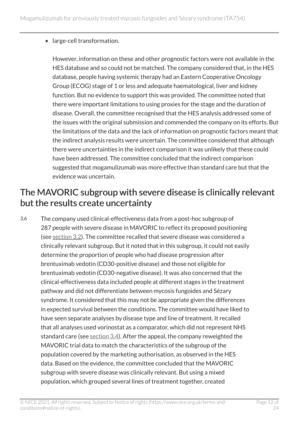#### • large-cell transformation.

However, information on these and other prognostic factors were not available in the HES database and so could not be matched. The company considered that, in the HES database, people having systemic therapy had an Eastern Cooperative Oncology Group (ECOG) stage of 1 or less and adequate haematological, liver and kidney function. But no evidence to support this was provided. The committee noted that there were important limitations to using proxies for the stage and the duration of disease. Overall, the committee recognised that the HES analysis addressed some of the issues with the original submission and commended the company on its efforts. But the limitations of the data and the lack of information on prognostic factors meant that the indirect analysis results were uncertain. The committee considered that although there were uncertainties in the indirect comparison it was unlikely that these could have been addressed. The committee concluded that the indirect comparison suggested that mogamulizumab was more effective than standard care but that the evidence was uncertain.

#### <span id="page-11-0"></span>The MAVORIC subgroup with severe disease is clinically relevant but the results create uncertainty

3.6 The company used clinical-effectiveness data from a post-hoc subgroup of 287 people with severe disease in MAVORIC to reflect its proposed positioning (see [section](#page-6-2) 3.2). The committee recalled that severe disease was considered a clinically relevant subgroup. But it noted that in this subgroup, it could not easily determine the proportion of people who had disease progression after brentuximab vedotin (CD30-positive disease) and those not eligible for brentuximab vedotin (CD30-negative disease). It was also concerned that the clinical-effectiveness data included people at different stages in the treatment pathway and did not differentiate between mycosis fungoides and Sézary syndrome. It considered that this may not be appropriate given the differences in expected survival between the conditions. The committee would have liked to have seen separate analyses by disease type and line of treatment. It recalled that all analyses used vorinostat as a comparator, which did not represent NHS standard care (see [section](#page-8-1) 3.4). After the appeal, the company reweighted the MAVORIC trial data to match the characteristics of the subgroup of the population covered by the marketing authorisation, as observed in the HES data. Based on the evidence, the committee concluded that the MAVORIC subgroup with severe disease was clinically relevant. But using a mixed population, which grouped several lines of treatment together, created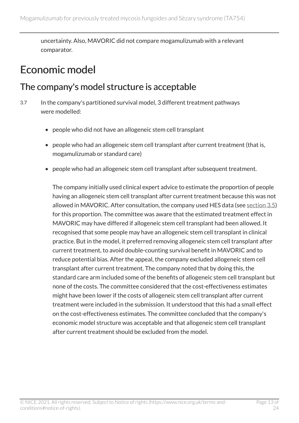uncertainty. Also, MAVORIC did not compare mogamulizumab with a relevant comparator.

### <span id="page-12-0"></span>Economic model

#### The company's model structure is acceptable

- 3.7 In the company's partitioned survival model, 3 different treatment pathways were modelled:
	- people who did not have an allogeneic stem cell transplant
	- people who had an allogeneic stem cell transplant after current treatment (that is, mogamulizumab or standard care)
	- people who had an allogeneic stem cell transplant after subsequent treatment.

The company initially used clinical expert advice to estimate the proportion of people having an allogeneic stem cell transplant after current treatment because this was not allowed in MAVORIC. After consultation, the company used HES data (see [section](#page-10-0) 3.5) for this proportion. The committee was aware that the estimated treatment effect in MAVORIC may have differed if allogeneic stem cell transplant had been allowed. It recognised that some people may have an allogeneic stem cell transplant in clinical practice. But in the model, it preferred removing allogeneic stem cell transplant after current treatment, to avoid double-counting survival benefit in MAVORIC and to reduce potential bias. After the appeal, the company excluded allogeneic stem cell transplant after current treatment. The company noted that by doing this, the standard care arm included some of the benefits of allogeneic stem cell transplant but none of the costs. The committee considered that the cost-effectiveness estimates might have been lower if the costs of allogeneic stem cell transplant after current treatment were included in the submission. It understood that this had a small effect on the cost-effectiveness estimates. The committee concluded that the company's economic model structure was acceptable and that allogeneic stem cell transplant after current treatment should be excluded from the model.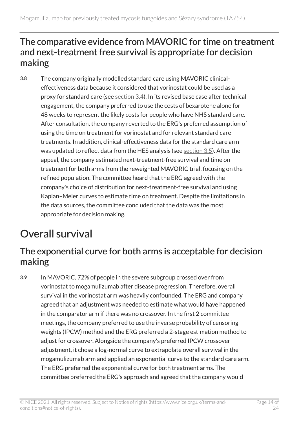#### The comparative evidence from MAVORIC for time on treatment and next-treatment free survival is appropriate for decision making

3.8 The company originally modelled standard care using MAVORIC clinicaleffectiveness data because it considered that vorinostat could be used as a proxy for standard care (see [section](#page-8-1) 3.4). In its revised base case after technical engagement, the company preferred to use the costs of bexarotene alone for 48 weeks to represent the likely costs for people who have NHS standard care. After consultation, the company reverted to the ERG's preferred assumption of using the time on treatment for vorinostat and for relevant standard care treatments. In addition, clinical-effectiveness data for the standard care arm was updated to reflect data from the HES analysis (see [section](#page-10-0) 3.5). After the appeal, the company estimated next-treatment-free survival and time on treatment for both arms from the reweighted MAVORIC trial, focusing on the refined population. The committee heard that the ERG agreed with the company's choice of distribution for next-treatment-free survival and using Kaplan–Meier curves to estimate time on treatment. Despite the limitations in the data sources, the committee concluded that the data was the most appropriate for decision making.

## <span id="page-13-0"></span>Overall survival

#### <span id="page-13-1"></span>The exponential curve for both arms is acceptable for decision making

3.9 In MAVORIC, 72% of people in the severe subgroup crossed over from vorinostat to mogamulizumab after disease progression. Therefore, overall survival in the vorinostat arm was heavily confounded. The ERG and company agreed that an adjustment was needed to estimate what would have happened in the comparator arm if there was no crossover. In the first 2 committee meetings, the company preferred to use the inverse probability of censoring weights (IPCW) method and the ERG preferred a 2-stage estimation method to adjust for crossover. Alongside the company's preferred IPCW crossover adjustment, it chose a log-normal curve to extrapolate overall survival in the mogamulizumab arm and applied an exponential curve to the standard care arm. The ERG preferred the exponential curve for both treatment arms. The committee preferred the ERG's approach and agreed that the company would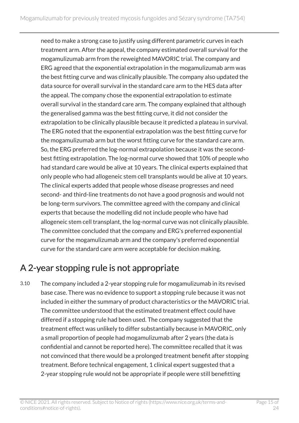need to make a strong case to justify using different parametric curves in each treatment arm. After the appeal, the company estimated overall survival for the mogamulizumab arm from the reweighted MAVORIC trial. The company and ERG agreed that the exponential extrapolation in the mogamulizumab arm was the best fitting curve and was clinically plausible. The company also updated the data source for overall survival in the standard care arm to the HES data after the appeal. The company chose the exponential extrapolation to estimate overall survival in the standard care arm. The company explained that although the generalised gamma was the best fitting curve, it did not consider the extrapolation to be clinically plausible because it predicted a plateau in survival. The ERG noted that the exponential extrapolation was the best fitting curve for the mogamulizumab arm but the worst fitting curve for the standard care arm. So, the ERG preferred the log-normal extrapolation because it was the secondbest fitting extrapolation. The log-normal curve showed that 10% of people who had standard care would be alive at 10 years. The clinical experts explained that only people who had allogeneic stem cell transplants would be alive at 10 years. The clinical experts added that people whose disease progresses and need second- and third-line treatments do not have a good prognosis and would not be long-term survivors. The committee agreed with the company and clinical experts that because the modelling did not include people who have had allogeneic stem cell transplant, the log-normal curve was not clinically plausible. The committee concluded that the company and ERG's preferred exponential curve for the mogamulizumab arm and the company's preferred exponential curve for the standard care arm were acceptable for decision making.

### A 2-year stopping rule is not appropriate

3.10 The company included a 2-year stopping rule for mogamulizumab in its revised base case. There was no evidence to support a stopping rule because it was not included in either the summary of product characteristics or the MAVORIC trial. The committee understood that the estimated treatment effect could have differed if a stopping rule had been used. The company suggested that the treatment effect was unlikely to differ substantially because in MAVORIC, only a small proportion of people had mogamulizumab after 2 years (the data is confidential and cannot be reported here). The committee recalled that it was not convinced that there would be a prolonged treatment benefit after stopping treatment. Before technical engagement, 1 clinical expert suggested that a 2-year stopping rule would not be appropriate if people were still benefitting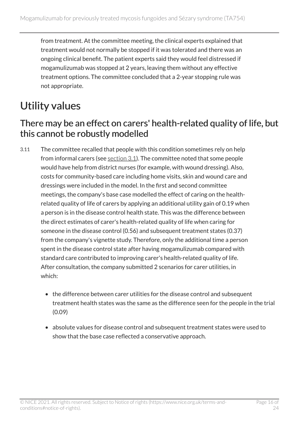from treatment. At the committee meeting, the clinical experts explained that treatment would not normally be stopped if it was tolerated and there was an ongoing clinical benefit. The patient experts said they would feel distressed if mogamulizumab was stopped at 2 years, leaving them without any effective treatment options. The committee concluded that a 2-year stopping rule was not appropriate.

### <span id="page-15-0"></span>Utility values

#### There may be an effect on carers' health-related quality of life, but this cannot be robustly modelled

- 3.11 The committee recalled that people with this condition sometimes rely on help from informal carers (see [section](#page-6-3) 3.1). The committee noted that some people would have help from district nurses (for example, with wound dressing). Also, costs for community-based care including home visits, skin and wound care and dressings were included in the model. In the first and second committee meetings, the company's base case modelled the effect of caring on the healthrelated quality of life of carers by applying an additional utility gain of 0.19 when a person is in the disease control health state. This was the difference between the direct estimates of carer's health-related quality of life when caring for someone in the disease control (0.56) and subsequent treatment states (0.37) from the company's vignette study. Therefore, only the additional time a person spent in the disease control state after having mogamulizumab compared with standard care contributed to improving carer's health-related quality of life. After consultation, the company submitted 2 scenarios for carer utilities, in which:
	- the difference between carer utilities for the disease control and subsequent treatment health states was the same as the difference seen for the people in the trial (0.09)
	- absolute values for disease control and subsequent treatment states were used to show that the base case reflected a conservative approach.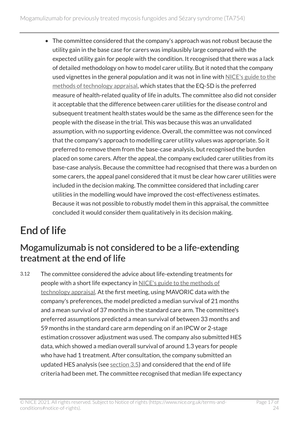• The committee considered that the company's approach was not robust because the utility gain in the base case for carers was implausibly large compared with the expected utility gain for people with the condition. It recognised that there was a lack of detailed methodology on how to model carer utility. But it noted that the company used vignettes in the general population and it was not in line with [NICE's guide to the](https://www.nice.org.uk/process/pmg9/chapter/the-appraisal-of-the-evidence-and-structured-decision-making) [methods of technology appraisal,](https://www.nice.org.uk/process/pmg9/chapter/the-appraisal-of-the-evidence-and-structured-decision-making) which states that the EQ-5D is the preferred measure of health-related quality of life in adults. The committee also did not consider it acceptable that the difference between carer utilities for the disease control and subsequent treatment health states would be the same as the difference seen for the people with the disease in the trial. This was because this was an unvalidated assumption, with no supporting evidence. Overall, the committee was not convinced that the company's approach to modelling carer utility values was appropriate. So it preferred to remove them from the base-case analysis, but recognised the burden placed on some carers. After the appeal, the company excluded carer utilities from its base-case analysis. Because the committee had recognised that there was a burden on some carers, the appeal panel considered that it must be clear how carer utilities were included in the decision making. The committee considered that including carer utilities in the modelling would have improved the cost-effectiveness estimates. Because it was not possible to robustly model them in this appraisal, the committee concluded it would consider them qualitatively in its decision making.

# <span id="page-16-0"></span>End of life

### Mogamulizumab is not considered to be a life-extending treatment at the end of life

3.12 The committee considered the advice about life-extending treatments for people with a short life expectancy in [NICE's guide to the methods of](https://www.nice.org.uk/process/pmg9/chapter/the-appraisal-of-the-evidence-and-structured-decision-making)  [technology appraisal](https://www.nice.org.uk/process/pmg9/chapter/the-appraisal-of-the-evidence-and-structured-decision-making). At the first meeting, using MAVORIC data with the company's preferences, the model predicted a median survival of 21 months and a mean survival of 37 months in the standard care arm. The committee's preferred assumptions predicted a mean survival of between 33 months and 59 months in the standard care arm depending on if an IPCW or 2-stage estimation crossover adjustment was used. The company also submitted HES data, which showed a median overall survival of around 1.3 years for people who have had 1 treatment. After consultation, the company submitted an updated HES analysis (see [section](#page-10-0) 3.5) and considered that the end of life criteria had been met. The committee recognised that median life expectancy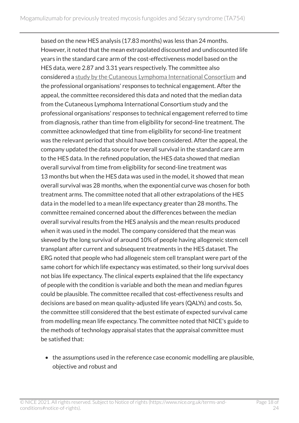based on the new HES analysis (17.83 months) was less than 24 months. However, it noted that the mean extrapolated discounted and undiscounted life years in the standard care arm of the cost-effectiveness model based on the HES data, were 2.87 and 3.31 years respectively. The committee also considered a [study by the Cutaneous Lymphoma International Consortium](https://pubmed.ncbi.nlm.nih.gov/26438120/) and the professional organisations' responses to technical engagement. After the appeal, the committee reconsidered this data and noted that the median data from the Cutaneous Lymphoma International Consortium study and the professional organisations' responses to technical engagement referred to time from diagnosis, rather than time from eligibility for second-line treatment. The committee acknowledged that time from eligibility for second-line treatment was the relevant period that should have been considered. After the appeal, the company updated the data source for overall survival in the standard care arm to the HES data. In the refined population, the HES data showed that median overall survival from time from eligibility for second-line treatment was 13 months but when the HES data was used in the model, it showed that mean overall survival was 28 months, when the exponential curve was chosen for both treatment arms. The committee noted that all other extrapolations of the HES data in the model led to a mean life expectancy greater than 28 months. The committee remained concerned about the differences between the median overall survival results from the HES analysis and the mean results produced when it was used in the model. The company considered that the mean was skewed by the long survival of around 10% of people having allogeneic stem cell transplant after current and subsequent treatments in the HES dataset. The ERG noted that people who had allogeneic stem cell transplant were part of the same cohort for which life expectancy was estimated, so their long survival does not bias life expectancy. The clinical experts explained that the life expectancy of people with the condition is variable and both the mean and median figures could be plausible. The committee recalled that cost-effectiveness results and decisions are based on mean quality-adjusted life years (QALYs) and costs. So, the committee still considered that the best estimate of expected survival came from modelling mean life expectancy. The committee noted that NICE's guide to the methods of technology appraisal states that the appraisal committee must be satisfied that:

• the assumptions used in the reference case economic modelling are plausible, objective and robust and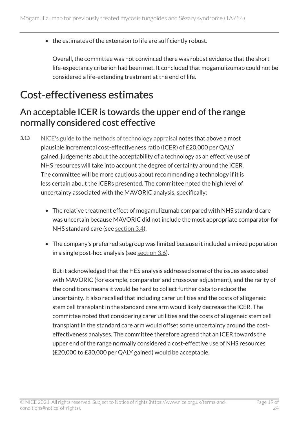• the estimates of the extension to life are sufficiently robust.

Overall, the committee was not convinced there was robust evidence that the short life-expectancy criterion had been met. It concluded that mogamulizumab could not be considered a life-extending treatment at the end of life.

### <span id="page-18-0"></span>Cost-effectiveness estimates

#### <span id="page-18-1"></span>An acceptable ICER is towards the upper end of the range normally considered cost effective

- 3.13 [NICE's guide to the methods of technology appraisal](https://www.nice.org.uk/process/pmg9/chapter/the-appraisal-of-the-evidence-and-structured-decision-making) notes that above a most plausible incremental cost-effectiveness ratio (ICER) of £20,000 per QALY gained, judgements about the acceptability of a technology as an effective use of NHS resources will take into account the degree of certainty around the ICER. The committee will be more cautious about recommending a technology if it is less certain about the ICERs presented. The committee noted the high level of uncertainty associated with the MAVORIC analysis, specifically:
	- The relative treatment effect of mogamulizumab compared with NHS standard care was uncertain because MAVORIC did not include the most appropriate comparator for NHS standard care (see [section](#page-8-1) 3.4).
	- The company's preferred subgroup was limited because it included a mixed population in a single post-hoc analysis (see [section](#page-11-0) 3.6).

But it acknowledged that the HES analysis addressed some of the issues associated with MAVORIC (for example, comparator and crossover adjustment), and the rarity of the conditions means it would be hard to collect further data to reduce the uncertainty. It also recalled that including carer utilities and the costs of allogeneic stem cell transplant in the standard care arm would likely decrease the ICER. The committee noted that considering carer utilities and the costs of allogeneic stem cell transplant in the standard care arm would offset some uncertainty around the costeffectiveness analyses. The committee therefore agreed that an ICER towards the upper end of the range normally considered a cost-effective use of NHS resources (£20,000 to £30,000 per QALY gained) would be acceptable.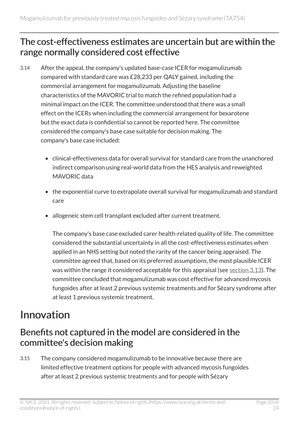#### The cost-effectiveness estimates are uncertain but are within the range normally considered cost effective

- 3.14 After the appeal, the company's updated base-case ICER for mogamulizumab compared with standard care was £28,233 per QALY gained, including the commercial arrangement for mogamulizumab. Adjusting the baseline characteristics of the MAVORIC trial to match the refined population had a minimal impact on the ICER. The committee understood that there was a small effect on the ICERs when including the commercial arrangement for bexarotene but the exact data is confidential so cannot be reported here. The committee considered the company's base case suitable for decision making. The company's base case included:
	- clinical-effectiveness data for overall survival for standard care from the unanchored indirect comparison using real-world data from the HES analysis and reweighted MAVORIC data
	- the exponential curve to extrapolate overall survival for mogamulizumab and standard care
	- allogeneic stem cell transplant excluded after current treatment.

The company's base case excluded carer health-related quality of life. The committee considered the substantial uncertainty in all the cost-effectiveness estimates when applied in an NHS setting but noted the rarity of the cancer being appraised. The committee agreed that, based on its preferred assumptions, the most plausible ICER was within the range it considered acceptable for this appraisal (see [section](#page-18-1) 3.13). The committee concluded that mogamulizumab was cost effective for advanced mycosis fungoides after at least 2 previous systemic treatments and for Sézary syndrome after at least 1 previous systemic treatment.

### <span id="page-19-0"></span>Innovation

#### Benefits not captured in the model are considered in the committee's decision making

3.15 The company considered mogamulizumab to be innovative because there are limited effective treatment options for people with advanced mycosis fungoides after at least 2 previous systemic treatments and for people with Sézary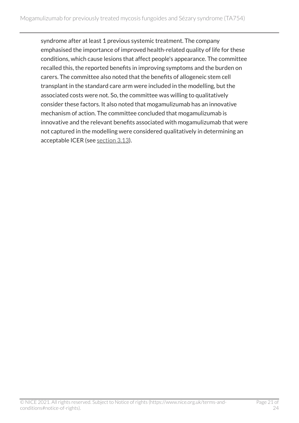syndrome after at least 1 previous systemic treatment. The company emphasised the importance of improved health-related quality of life for these conditions, which cause lesions that affect people's appearance. The committee recalled this, the reported benefits in improving symptoms and the burden on carers. The committee also noted that the benefits of allogeneic stem cell transplant in the standard care arm were included in the modelling, but the associated costs were not. So, the committee was willing to qualitatively consider these factors. It also noted that mogamulizumab has an innovative mechanism of action. The committee concluded that mogamulizumab is innovative and the relevant benefits associated with mogamulizumab that were not captured in the modelling were considered qualitatively in determining an acceptable ICER (see [section](#page-18-1) 3.13).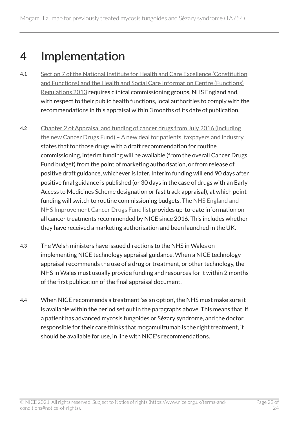## <span id="page-21-0"></span>4 Implementation

- 4.1 [Section 7 of the National Institute for Health and Care Excellence \(Constitution](http://www.legislation.gov.uk/uksi/2013/259/contents/made)  [and Functions\) and the Health and Social Care Information Centre \(Functions\)](http://www.legislation.gov.uk/uksi/2013/259/contents/made) [Regulations 2013](http://www.legislation.gov.uk/uksi/2013/259/contents/made) requires clinical commissioning groups, NHS England and, with respect to their public health functions, local authorities to comply with the recommendations in this appraisal within 3 months of its date of publication.
- 4.2 [Chapter 2 of Appraisal and funding of cancer drugs from July 2016 \(including](https://www.england.nhs.uk/cancer/cdf/)  the new Cancer Drugs Fund) - A new deal for patients, taxpayers and industry states that for those drugs with a draft recommendation for routine commissioning, interim funding will be available (from the overall Cancer Drugs Fund budget) from the point of marketing authorisation, or from release of positive draft guidance, whichever is later. Interim funding will end 90 days after positive final guidance is published (or 30 days in the case of drugs with an Early Access to Medicines Scheme designation or fast track appraisal), at which point funding will switch to routine commissioning budgets. The [NHS England and](https://www.england.nhs.uk/cancer/cdf/cancer-drugs-fund-list/)  [NHS Improvement Cancer Drugs Fund list](https://www.england.nhs.uk/cancer/cdf/cancer-drugs-fund-list/) provides up-to-date information on all cancer treatments recommended by NICE since 2016. This includes whether they have received a marketing authorisation and been launched in the UK.
- 4.3 The Welsh ministers have issued directions to the NHS in Wales on implementing NICE technology appraisal guidance. When a NICE technology appraisal recommends the use of a drug or treatment, or other technology, the NHS in Wales must usually provide funding and resources for it within 2 months of the first publication of the final appraisal document.
- 4.4 When NICE recommends a treatment 'as an option', the NHS must make sure it is available within the period set out in the paragraphs above. This means that, if a patient has advanced mycosis fungoides or Sézary syndrome, and the doctor responsible for their care thinks that mogamulizumab is the right treatment, it should be available for use, in line with NICE's recommendations.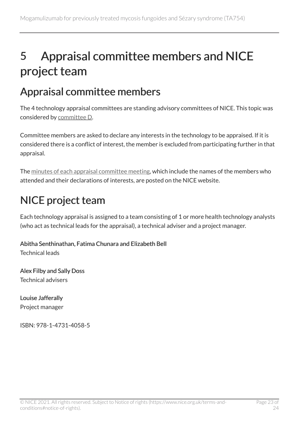# <span id="page-22-0"></span>5 Appraisal committee members and NICE project team

### <span id="page-22-1"></span>Appraisal committee members

The 4 technology appraisal committees are standing advisory committees of NICE. This topic was considered by [committee](https://www.nice.org.uk/Get-Involved/Meetings-in-public/Technology-appraisal-Committee/Committee-D-Members) D.

Committee members are asked to declare any interests in the technology to be appraised. If it is considered there is a conflict of interest, the member is excluded from participating further in that appraisal.

The [minutes of each appraisal committee meeting](https://www.nice.org.uk/get-involved/meetings-in-public/technology-appraisal-committee), which include the names of the members who attended and their declarations of interests, are posted on the NICE website.

## <span id="page-22-2"></span>NICE project team

Each technology appraisal is assigned to a team consisting of 1 or more health technology analysts (who act as technical leads for the appraisal), a technical adviser and a project manager.

#### Abitha Senthinathan, Fatima Chunara and Elizabeth Bell Technical leads

Alex Filby and Sally Doss Technical advisers

Louise Jafferally Project manager

ISBN: 978-1-4731-4058-5